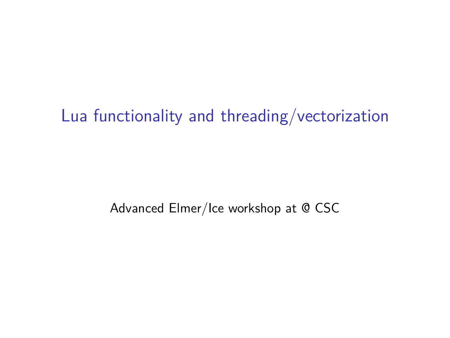## Lua functionality and threading/vectorization

Advanced Elmer/Ice workshop at @ CSC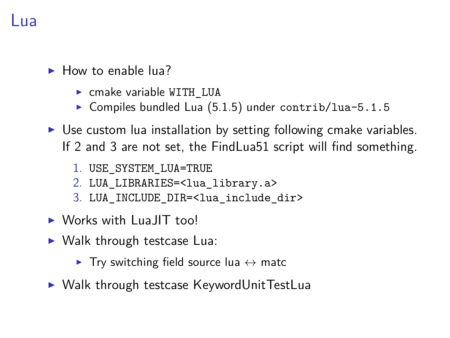#### Lua

- $\blacktriangleright$  How to enable lua?
	- $\triangleright$  cmake variable WITH LUA
	- $\triangleright$  Compiles bundled Lua (5.1.5) under contrib/lua-5.1.5
- $\triangleright$  Use custom lua installation by setting following cmake variables. If 2 and 3 are not set, the FindLua51 script will find something.
	- 1. USE\_SYSTEM\_LUA=TRUE
	- 2. LUA\_LIBRARIES=<lua\_library.a>
	- 3. LUA INCLUDE DIR=<lua include dir>
- $\triangleright$  Works with LuaJIT too!
- $\triangleright$  Walk through testcase Lua:
	- $\triangleright$  Try switching field source lua  $\leftrightarrow$  matc
- $\triangleright$  Walk through testcase KeywordUnitTestLua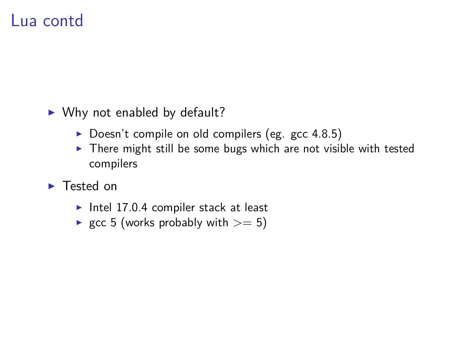### Lua contd

- $\triangleright$  Why not enabled by default?
	- $\triangleright$  Doesn't compile on old compilers (eg. gcc 4.8.5)
	- $\triangleright$  There might still be some bugs which are not visible with tested compilers
- $\blacktriangleright$  Tested on
	- Intel 17.0.4 compiler stack at least
	- gcc 5 (works probably with  $>= 5$ )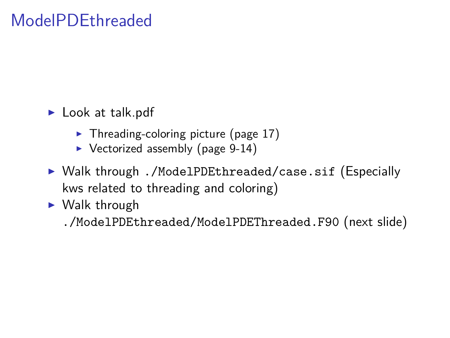# ModelPDEthreaded

- $\blacktriangleright$  Look at talk.pdf
	- $\blacktriangleright$  Threading-coloring picture (page 17)
	- $\triangleright$  Vectorized assembly (page 9-14)
- ▶ Walk through ./ModelPDEthreaded/case.sif (Especially kws related to threading and coloring)
- $\blacktriangleright$  Walk through

./ModelPDEthreaded/ModelPDEThreaded.F90 (next slide)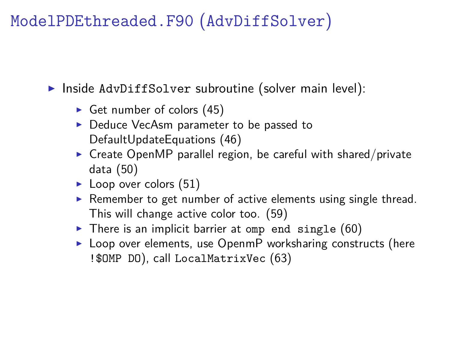### ModelPDEthreaded.F90 (AdvDiffSolver)

 $\triangleright$  Inside AdvDiffSolver subroutine (solver main level):

- Get number of colors  $(45)$
- ▶ Deduce VecAsm parameter to be passed to DefaultUpdateEquations (46)
- $\triangleright$  Create OpenMP parallel region, be careful with shared/private data (50)
- $\blacktriangleright$  Loop over colors (51)
- $\triangleright$  Remember to get number of active elements using single thread. This will change active color too. (59)
- $\triangleright$  There is an implicit barrier at omp end single (60)
- $\blacktriangleright$  Loop over elements, use OpenmP worksharing constructs (here !\$OMP DO), call LocalMatrixVec (63)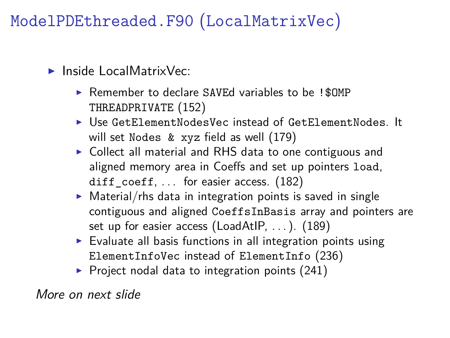ModelPDEthreaded.F90 (LocalMatrixVec)

- $\blacktriangleright$  Inside LocalMatrixVec:
	- $\triangleright$  Remember to declare SAVEd variables to be ! \$0MP THREADPRIVATE (152)
	- ▶ Use GetElementNodesVec instead of GetElementNodes It will set Nodes & xyz field as well (179)
	- $\triangleright$  Collect all material and RHS data to one contiguous and aligned memory area in Coeffs and set up pointers load, diff  $coeff$ , ... for easier access. (182)
	- $\triangleright$  Material/rhs data in integration points is saved in single contiguous and aligned CoeffsInBasis array and pointers are set up for easier access (LoadAtIP, ...). (189)
	- $\triangleright$  Evaluate all basis functions in all integration points using ElementInfoVec instead of ElementInfo (236)
	- $\triangleright$  Project nodal data to integration points (241)

More on next slide